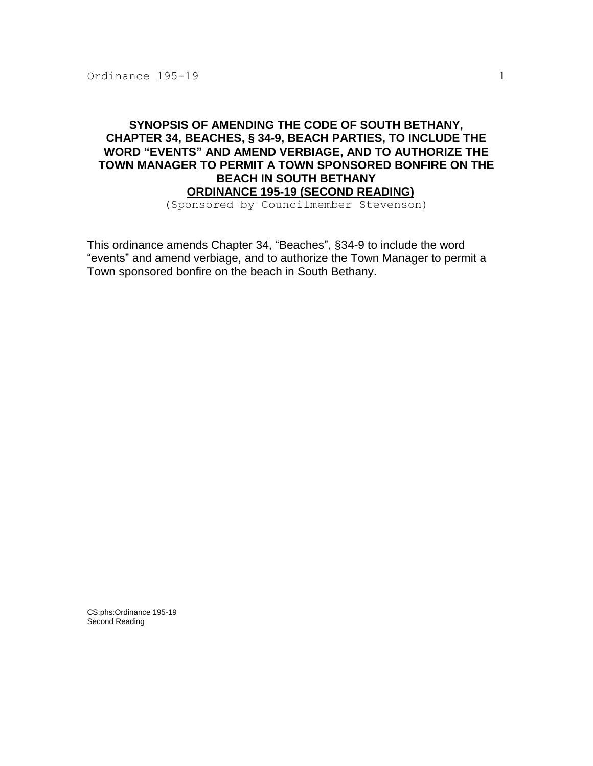## **SYNOPSIS OF AMENDING THE CODE OF SOUTH BETHANY, CHAPTER 34, BEACHES, § 34-9, BEACH PARTIES, TO INCLUDE THE WORD "EVENTS" AND AMEND VERBIAGE, AND TO AUTHORIZE THE TOWN MANAGER TO PERMIT A TOWN SPONSORED BONFIRE ON THE BEACH IN SOUTH BETHANY ORDINANCE 195-19 (SECOND READING)**

(Sponsored by Councilmember Stevenson)

This ordinance amends Chapter 34, "Beaches", §34-9 to include the word "events" and amend verbiage, and to authorize the Town Manager to permit a Town sponsored bonfire on the beach in South Bethany.

CS:phs:Ordinance 195-19 Second Reading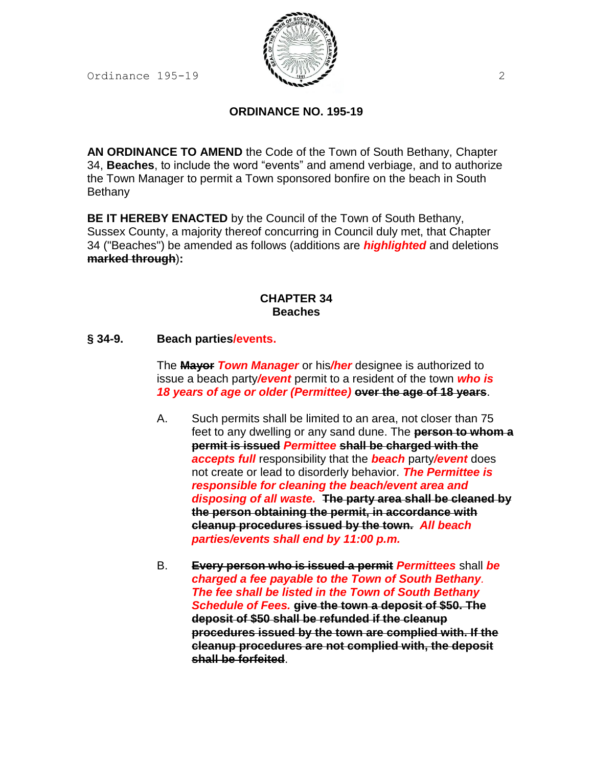Ordinance  $195-19$  2



# **ORDINANCE NO. 195-19**

**AN ORDINANCE TO AMEND** the Code of the Town of South Bethany, Chapter 34, **Beaches**, to include the word "events" and amend verbiage, and to authorize the Town Manager to permit a Town sponsored bonfire on the beach in South **Bethany** 

**BE IT HEREBY ENACTED** by the Council of the Town of South Bethany, Sussex County, a majority thereof concurring in Council duly met, that Chapter 34 ("Beaches") be amended as follows (additions are *highlighted* and deletions **marked through**)**:**

### **CHAPTER 34 Beaches**

### **§ 34-9. Beach parties/events.**

The **Mayor** *Town Manager* or his*/her* designee is authorized to issue a beach party*/event* permit to a resident of the town *who is 18 years of age or older (Permittee)* **over the age of 18 years**.

- A. Such permits shall be limited to an area, not closer than 75 feet to any dwelling or any sand dune. The **person to whom a permit is issued** *Permittee* **shall be charged with the** *accepts full* responsibility that the *beach* party*/event* does not create or lead to disorderly behavior. *The Permittee is responsible for cleaning the beach/event area and disposing of all waste.* **The party area shall be cleaned by the person obtaining the permit, in accordance with cleanup procedures issued by the town.** *All beach parties/events shall end by 11:00 p.m.*
- B. **Every person who is issued a permit** *Permittees* shall *be charged a fee payable to the Town of South Bethany. The fee shall be listed in the Town of South Bethany Schedule of Fees.* **give the town a deposit of \$50. The deposit of \$50 shall be refunded if the cleanup procedures issued by the town are complied with. If the cleanup procedures are not complied with, the deposit shall be forfeited**.